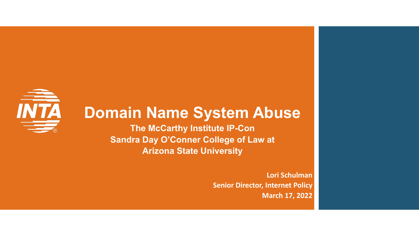# **INTA**

#### **Domain Name System Abuse**

**The McCarthy Institute IP-Con Sandra Day O'Conner College of Law at Arizona State University**

> **Lori Schulman Senior Director, Internet Policy March 17, 2022**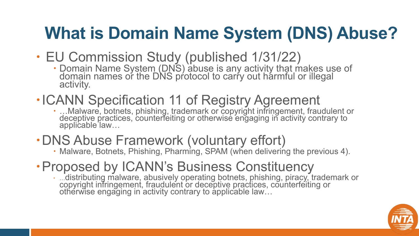# **What is Domain Name System (DNS) Abuse?**

- EU Commission Study (published 1/31/22)
	- Domain Name System (DNS) abuse is any activity that makes use of domain names or the DNS protocol to carry out harmful or illegal activity.
- 
- ICANN Specification 11 of Registry Agreement<br>
EXANN Specification 11 of Registry Agreement, fraudulent or<br>
deceptive practices, counterfeiting or otherwise engaging in activity contrary to applicable law…
- DNS Abuse Framework (voluntary effort)<br>
 Malware, Botnets, Phishing, Pharming, SPAM (when delivering the previous 4).
	-
- Proposed by ICANN's Business Constituency
	- …distributing malware, abusively operating botnets, phishing, piracy, trademark or copyright infringement, fraudulent or deceptive practices, counterfeiting or otherwise engaging in activity contrary to applicable law...

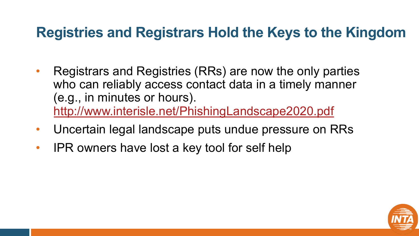#### **Registries and Registrars Hold the**

- Registrars and Registries (RRs) are now who can reliably access contact data in (e.g., in minutes or hours). http://www.interisle.net/PhishingLandsca
- Uncertain legal landscape puts undue p
- IPR owners have lost a key tool for self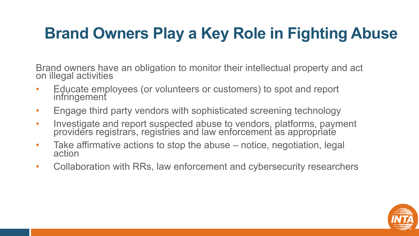### **Brand Owners Play a Key Role in Fighting Abuse**

Brand owners have an obligation to monitor their intellectual property and act on illegal activities

- Educate employees (or volunteers or customers) to spot and report infringement
- Engage third party vendors with sophisticated screening technology
- Investigate and report suspected abuse to vendors, platforms, payment providers registrars, registries and law enforcement as appropriate
- Take affirmative actions to stop the abuse notice, negotiation, legal action
- Collaboration with RRs, law enforcement and cybersecurity researchers

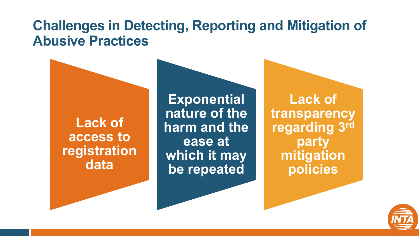#### **Challenges in Detecting, Reporting and Mitigation of Abusive Practices**

**Lack of access to registration data**

**Exponential nature of the harm and the ease at which it may be repeated**

**Lack of transparency regarding 3rd party mitigation policies**

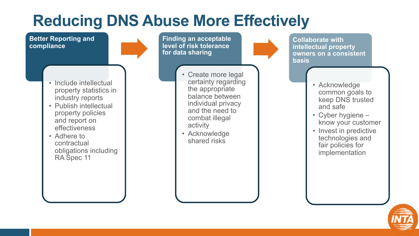#### **Reducing DNS Abuse More Effectively**

**Better Reporting and compliance**

**Finding an acceptable level of risk tolerance for data sharing**

• Include intellectual property statistics in industry reports

- Publish intellectual property policies and report on effectiveness
- Adhere to contractual obligations including RA Spec 11

• Create more legal certainty regarding the appropriate balance between individual privacy and the need to combat illegal activity

• Acknowledge shared risks

**Collaborate with intellectual property owners on a consistent basis**

- Acknowledge common goals to keep DNS trusted and safe
- Cyber hygiene know your customer
- Invest in predictive technologies and fair policies for implementation

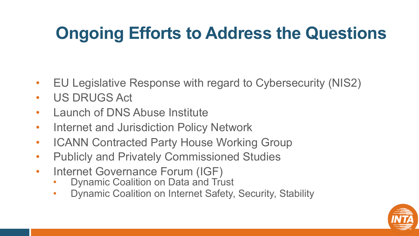## **Ongoing Efforts to Address the Questions**

- EU Legislative Response with regard to Cybersecurity (NIS2)
- US DRUGS Act
- Launch of DNS Abuse Institute
- Internet and Jurisdiction Policy Network
- ICANN Contracted Party House Working Group
- Publicly and Privately Commissioned Studies
- Internet Governance Forum (IGF)
	- **Dynamic Coalition on Data and Trust**
	- Dynamic Coalition on Internet Safety, Security, Stability

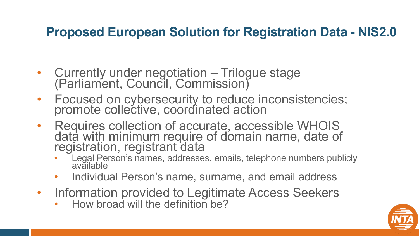#### **Proposed European Solution for Registration Data - NIS2.0**

- Currently under negotiation Trilogue stage (Parliament, Council, Commission)
- Focused on cybersecurity to reduce inconsistencies; promote collective, coordinated action
- Requires collection of accurate, accessible WHOIS data with minimum require of domain name, date of registration, registrant data
	- Legal Person's names, addresses, emails, telephone numbers publicly available
	- Individual Person's name, surname, and email address
- Information provided to Legitimate Access Seekers
	- How broad will the definition be?

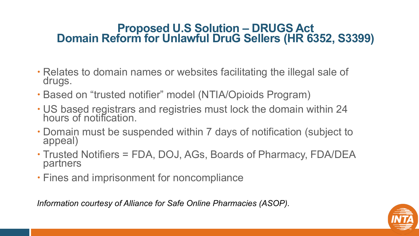#### **Proposed U.S Solution – DRUGS Act Domain Reform for Unlawful DruG Sellers (HR 6352, S3399)**

- Relates to domain names or websites facilitating the illegal sale of drugs.
- Based on "trusted notifier" model (NTIA/Opioids Program)
- US based registrars and registries must lock the domain within 24 hours of notification.
- Domain must be suspended within 7 days of notification (subject to appeal)
- Trusted Notifiers = FDA, DOJ, AGs, Boards of Pharmacy, FDA/DEA partners
- Fines and imprisonment for noncompliance

*Information courtesy of Alliance for Safe Online Pharmacies (ASOP).*

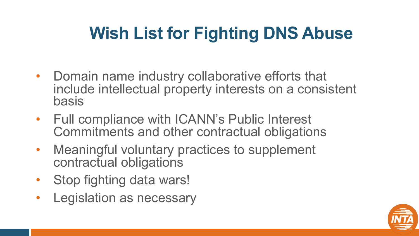# **Wish List for Fighting DNS Abuse**

- Domain name industry collaborative efforts that include intellectual property interests on a consistent basis
- Full compliance with ICANN's Public Interest Commitments and other contractual obligations
- Meaningful voluntary practices to supplement contractual obligations
- Stop fighting data wars!
- Legislation as necessary